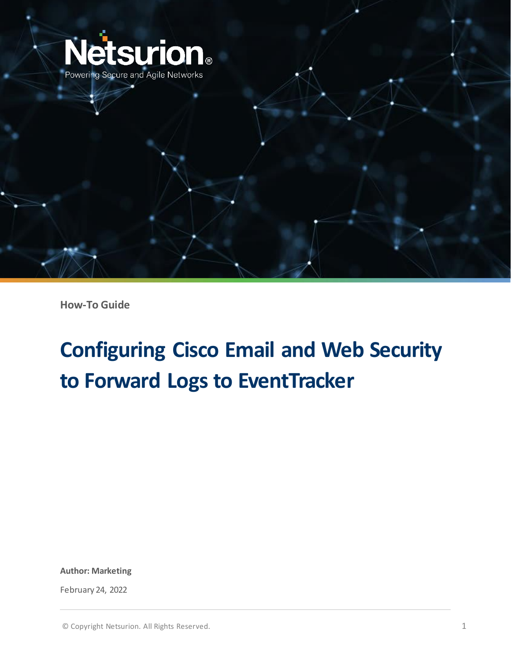

**How-To Guide**

# **Configuring Cisco Email and Web Security to Forward Logs to EventTracker**

**Author: Marketing**

February 24, 2022

© Copyright Netsurion. All Rights Reserved. 1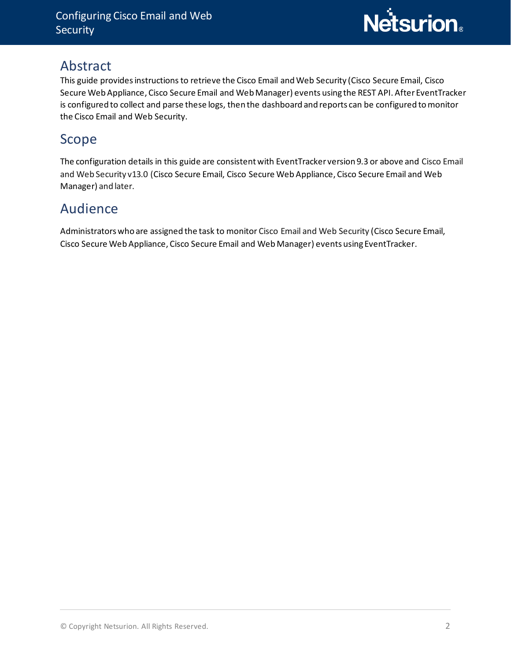### Abstract

This guide provides instructions to retrieve the Cisco Email and Web Security (Cisco Secure Email, Cisco Secure Web Appliance, Cisco Secure Email and Web Manager) events using the REST API. After EventTracker is configured to collect and parse these logs, then the dashboard and reports can be configured to monitor the Cisco Email and Web Security.

## Scope

The configuration details in this guide are consistent with EventTracker version 9.3 or above and Cisco Email and Web Security v13.0 (Cisco Secure Email, Cisco Secure Web Appliance, Cisco Secure Email and Web Manager) and later.

# Audience

Administrators who are assigned the task to monitor Cisco Email and Web Security (Cisco Secure Email, Cisco Secure Web Appliance, Cisco Secure Email and Web Manager) events using EventTracker.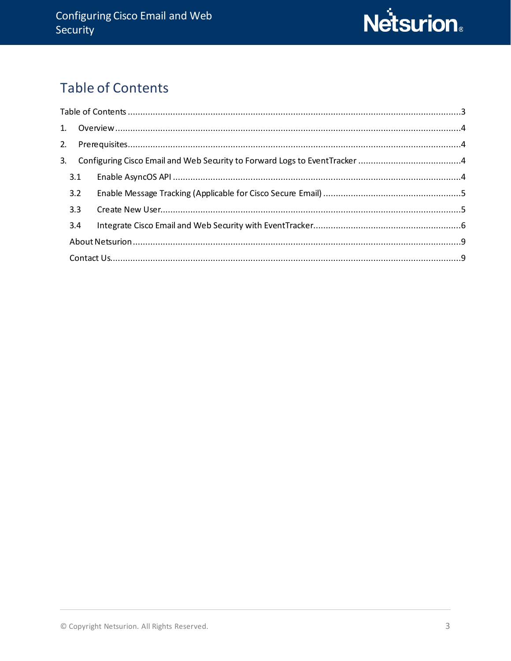

# <span id="page-2-0"></span>**Table of Contents**

| 3.1 |  |
|-----|--|
| 3.2 |  |
| 3.3 |  |
| 3.4 |  |
|     |  |
|     |  |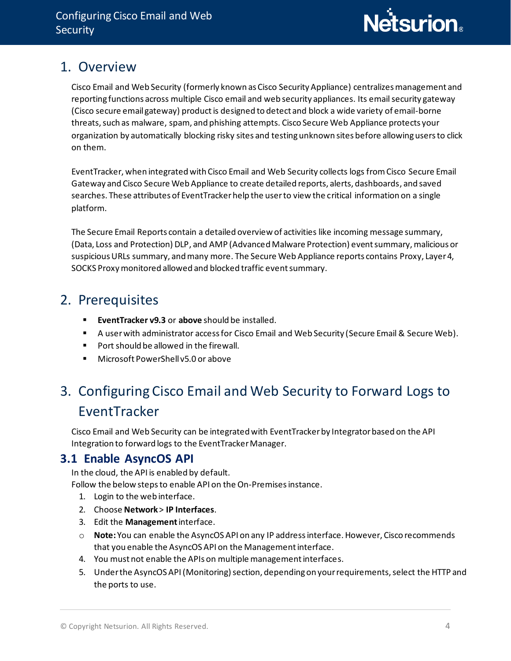### <span id="page-3-0"></span>1. Overview

Cisco Email and Web Security (formerly known as Cisco Security Appliance) centralizes management and reporting functions across multiple Cisco email and web security appliances. Its email security gateway (Cisco secure email gateway) productis designed to detect and block a wide variety of email-borne threats, such as malware, spam, and phishing attempts. Cisco Secure Web Appliance protects your organization by automatically blocking risky sites and testing unknown sites before allowing users to click on them.

EventTracker, when integrated with Cisco Email and Web Security collects logs from Cisco Secure Email Gateway and Cisco Secure Web Appliance to create detailed reports, alerts, dashboards, and saved searches. These attributes of EventTracker help the user to view the critical information on a single platform.

The Secure Email Reports contain a detailed overview of activities like incoming message summary, (Data, Loss and Protection) DLP, and AMP (AdvancedMalware Protection) event summary, malicious or suspicious URLs summary, and many more. The Secure Web Appliance reports contains Proxy, Layer 4, SOCKS Proxy monitored allowed and blocked traffic event summary.

# <span id="page-3-1"></span>2. Prerequisites

- **EventTracker v9.3** or **above** should be installed.
- A user with administrator access for Cisco Email and Web Security (Secure Email & Secure Web).
- Port should be allowed in the firewall.
- Microsoft PowerShell v5.0 or above

# <span id="page-3-2"></span>3. Configuring Cisco Email and Web Security to Forward Logs to EventTracker

Cisco Email and Web Security can be integrated with EventTracker by Integrator based on the API Integration to forward logs to the EventTracker Manager.

### **3.1 Enable AsyncOS API**

<span id="page-3-3"></span>In the cloud, the API is enabled by default.

Follow the below steps to enable API on the On-Premises instance.

- 1. Login to the web interface.
- 2. Choose **Network** > **IP Interfaces**.
- 3. Edit the **Management**interface.
- o **Note:** You can enable the AsyncOS API on any IP address interface. However, Cisco recommends that you enable the AsyncOS API on the Management interface.
- 4. You must not enable the APIs on multiple management interfaces.
- 5. Under the AsyncOS API (Monitoring) section, depending on your requirements, select the HTTP and the ports to use.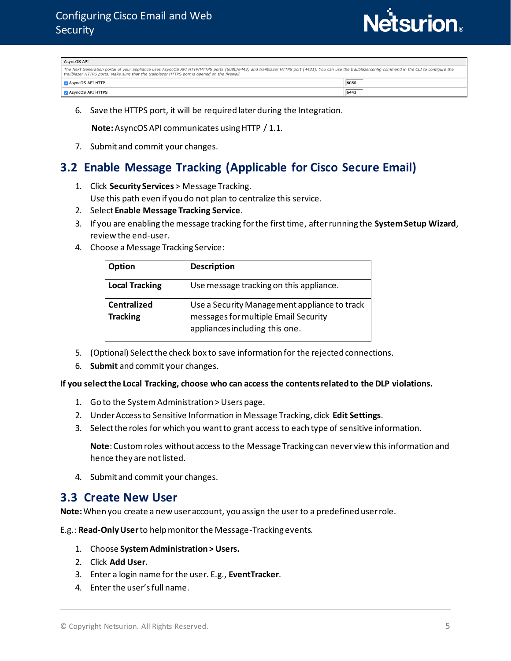

| AsyncOS API                                                                                                                                                                                                                                                                                          |      |  |  |
|------------------------------------------------------------------------------------------------------------------------------------------------------------------------------------------------------------------------------------------------------------------------------------------------------|------|--|--|
| The Next Generation portal of your appliance uses AsyncOS API HTTP/HTTPS ports (6080/6443) and trailblazer HTTPS port (4431). You can use the trailblazerconfig command in the CLI to configure the<br>trailblazer HTTPS ports. Make sure that the trailblazer HTTPS port is opened on the firewall. |      |  |  |
| AsyncOS API HTTP                                                                                                                                                                                                                                                                                     | 6080 |  |  |
| AsyncOS API HTTPS                                                                                                                                                                                                                                                                                    | 6443 |  |  |

6. Save the HTTPS port, it will be required later during the Integration.

 **Note:** AsyncOS API communicates using HTTP / 1.1.

7. Submit and commit your changes.

### <span id="page-4-0"></span>**3.2 Enable Message Tracking (Applicable for Cisco Secure Email)**

- 1. Click **Security Services** > Message Tracking. Use this path even if you do not plan to centralize this service.
- 2. Select **Enable Message Tracking Service**.
- 3. If you are enabling the message tracking for the first time, after running the **System Setup Wizard**, review the end-user.
- 4. Choose a Message Tracking Service:

| Option                                | <b>Description</b>                                                                                                     |  |  |
|---------------------------------------|------------------------------------------------------------------------------------------------------------------------|--|--|
| <b>Local Tracking</b>                 | Use message tracking on this appliance.                                                                                |  |  |
| <b>Centralized</b><br><b>Tracking</b> | Use a Security Management appliance to track<br>messages for multiple Email Security<br>appliances including this one. |  |  |

- 5. (Optional) Select the check box to save information for the rejected connections.
- 6. **Submit** and commit your changes.

#### **If you select the Local Tracking, choose who can access the contentsrelated to the DLP violations.**

- 1. Go to the System Administration > Users page.
- 2. Under Access to Sensitive Information in Message Tracking, click **Edit Settings**.
- 3. Select the roles for which you want to grant access to each type of sensitive information.

**Note**: Custom roles without access to the Message Tracking can never view this information and hence they are not listed.

4. Submit and commit your changes.

#### <span id="page-4-1"></span>**3.3 Create New User**

**Note:** When you create a new user account, you assign the user to a predefined user role.

E.g.: **Read-Only User** to help monitor the Message-Tracking events.

- 1. Choose **System Administration > Users.**
- 2. Click **Add User.**
- 3. Enter a login name for the user. E.g., **EventTracker**.
- 4. Enter the user's full name.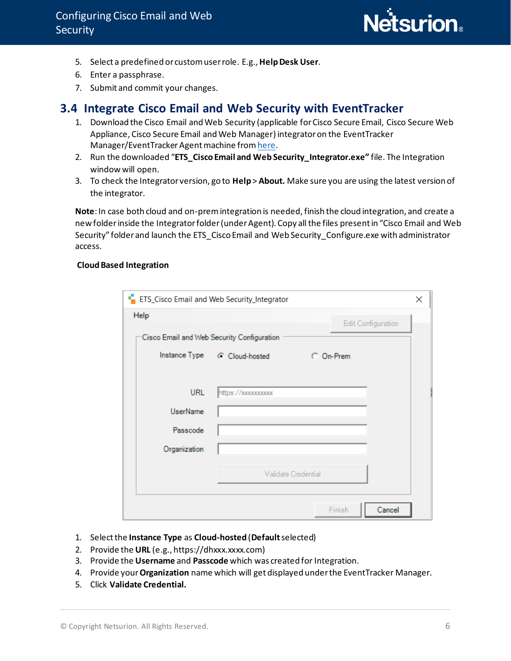

- 5. Select a predefined or custom user role. E.g.,**Help Desk User**.
- 6. Enter a passphrase.
- 7. Submit and commit your changes.

### <span id="page-5-0"></span>**3.4 Integrate Cisco Email and Web Security with EventTracker**

- 1. Download the Cisco Email and Web Security (applicable for Cisco Secure Email, Cisco Secure Web Appliance, Cisco Secure Email and Web Manager) integrator on the EventTracker Manager/EventTracker Agent machine fro[m here](https://www.netsurion.com/knowledge-packs/cisco-email-and-web-security).
- 2. Run the downloaded "**ETS\_Cisco Email and Web Security\_Integrator.exe"** file. The Integration window will open.
- 3. To check the Integrator version, go to **Help** > **About.** Make sure you are using the latest version of the integrator.

**Note**: In case both cloud and on-prem integration is needed, finish the cloud integration, and create a new folder inside the Integrator folder (under Agent). Copy all the files present in "Cisco Email and Web Security" folder and launch the ETS\_Cisco Email and Web Security\_Configure.exe with administrator access.

#### **Cloud Based Integration**

| <b>F</b> ETS_Cisco Email and Web Security_Integrator<br>× |                                            |                                            |        |  |
|-----------------------------------------------------------|--------------------------------------------|--------------------------------------------|--------|--|
|                                                           | Help<br><b>Edit Configuration</b>          |                                            |        |  |
|                                                           | Cisco Email and Web Security Configuration |                                            |        |  |
|                                                           |                                            | Instance Type (C Cloud-hosted<br>C On-Prem |        |  |
|                                                           |                                            |                                            |        |  |
|                                                           | <b>URL</b>                                 | https://xxxxxxxxxx                         |        |  |
|                                                           | <b>UserName</b>                            |                                            |        |  |
|                                                           | Passcode                                   |                                            |        |  |
|                                                           | Organization                               |                                            |        |  |
|                                                           |                                            | Validate Credential                        |        |  |
|                                                           |                                            | Finish                                     | Cancel |  |

- 1. Select the **Instance Type** as **Cloud-hosted** (**Default**selected)
- 2. Provide the **URL** (e.g., https://dhxxx.xxxx.com)
- 3. Provide the **Username** and **Passcode** which was created for Integration.
- 4. Provide your **Organization** name which will get displayed under the EventTracker Manager.
- 5. Click **Validate Credential.**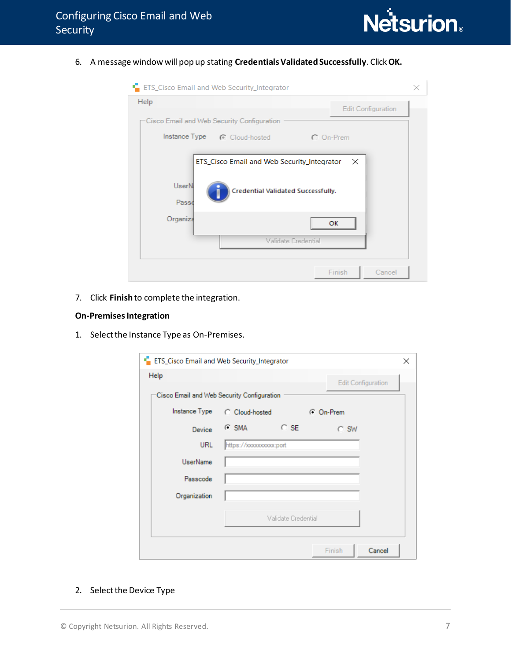

6. A message window will pop up stating **Credentials Validated Successfully**. Click **OK.**

| <b>Example 2</b> ETS_Cisco Email and Web Security_Integrator |                                                                                     |
|--------------------------------------------------------------|-------------------------------------------------------------------------------------|
| Help<br>Cisco Email and Web Security Configuration           | <b>Edit Configuration</b>                                                           |
| Instance Type (C Cloud-hosted                                | C On-Prem                                                                           |
| <b>UserN</b><br>Passo                                        | ETS_Cisco Email and Web Security_Integrator X<br>Credential Validated Successfully. |
| Organiza                                                     | OK<br>Validate Credential                                                           |
|                                                              | Finish<br>Cancel                                                                    |

7. Click **Finish** to complete the integration.

#### **On-Premises Integration**

1. Select the Instance Type as On-Premises.

| <b>EXECUTE:</b> ETS_Cisco Email and Web Security_Integrator |                              |        |           |                           | ×      |
|-------------------------------------------------------------|------------------------------|--------|-----------|---------------------------|--------|
| Help                                                        |                              |        |           | <b>Edit Configuration</b> |        |
| Cisco Email and Web Security Configuration                  |                              |        |           |                           |        |
|                                                             | Instance Type C Cloud-hosted |        | C On-Prem |                           |        |
| Device                                                      | $C$ SMA                      | $C$ SE |           | $C$ SW                    |        |
| <b>URL</b>                                                  | https://xxxxxxxxxx.port      |        |           |                           |        |
| <b>UserName</b>                                             |                              |        |           |                           |        |
| Passcode                                                    |                              |        |           |                           |        |
| Organization                                                |                              |        |           |                           |        |
| Validate Credential                                         |                              |        |           |                           |        |
|                                                             |                              |        |           | Finish                    | Cancel |

2. Select the Device Type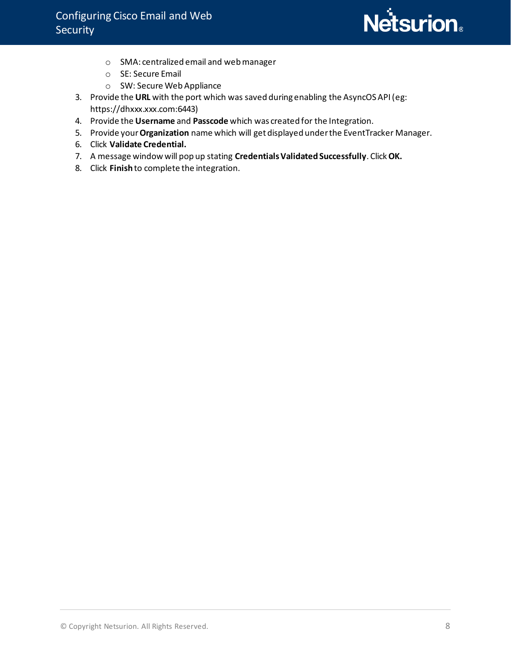

- o SMA: centralized email and web manager
- o SE: Secure Email
- o SW: Secure Web Appliance
- 3. Provide the **URL** with the port which was saved during enabling the AsyncOS API (eg: https://dhxxx.xxx.com:6443)
- 4. Provide the **Username** and **Passcode** which was created for the Integration.
- 5. Provide your **Organization** name which will get displayed under the EventTracker Manager.
- 6. Click **Validate Credential.**
- 7. A message window will pop up stating **Credentials Validated Successfully**. Click **OK.**
- 8. Click **Finish** to complete the integration.